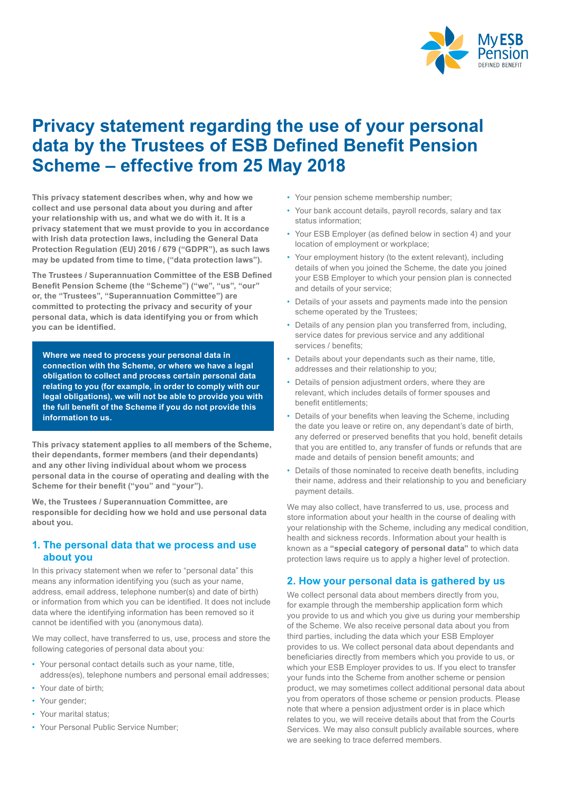

# **Privacy statement regarding the use of your personal data by the Trustees of ESB Defined Benefit Pension Scheme – effective from 25 May 2018**

**This privacy statement describes when, why and how we collect and use personal data about you during and after your relationship with us, and what we do with it. It is a privacy statement that we must provide to you in accordance with Irish data protection laws, including the General Data Protection Regulation (EU) 2016 / 679 ("GDPR"), as such laws may be updated from time to time, ("data protection laws").** 

**The Trustees / Superannuation Committee of the ESB Defined Benefit Pension Scheme (the "Scheme") ("we", "us", "our" or, the "Trustees", "Superannuation Committee") are committed to protecting the privacy and security of your personal data, which is data identifying you or from which you can be identified.** 

**Where we need to process your personal data in connection with the Scheme, or where we have a legal obligation to collect and process certain personal data relating to you (for example, in order to comply with our legal obligations), we will not be able to provide you with the full benefit of the Scheme if you do not provide this information to us.**

**This privacy statement applies to all members of the Scheme, their dependants, former members (and their dependants) and any other living individual about whom we process personal data in the course of operating and dealing with the Scheme for their benefit ("you" and "your").**

**We, the Trustees / Superannuation Committee, are responsible for deciding how we hold and use personal data about you.** 

#### **1. The personal data that we process and use about you**

In this privacy statement when we refer to "personal data" this means any information identifying you (such as your name, address, email address, telephone number(s) and date of birth) or information from which you can be identified. It does not include data where the identifying information has been removed so it cannot be identified with you (anonymous data).

We may collect, have transferred to us, use, process and store the following categories of personal data about you:

- Your personal contact details such as your name, title, address(es), telephone numbers and personal email addresses;
- Your date of birth;
- Your gender;
- Your marital status;
- Your Personal Public Service Number;
- Your pension scheme membership number;
- Your bank account details, payroll records, salary and tax status information;
- Your ESB Employer (as defined below in section 4) and your location of employment or workplace;
- Your employment history (to the extent relevant), including details of when you joined the Scheme, the date you joined your ESB Employer to which your pension plan is connected and details of your service;
- Details of your assets and payments made into the pension scheme operated by the Trustees;
- Details of any pension plan you transferred from, including, service dates for previous service and any additional services / benefits;
- Details about your dependants such as their name, title, addresses and their relationship to you;
- Details of pension adjustment orders, where they are relevant, which includes details of former spouses and benefit entitlements;
- Details of your benefits when leaving the Scheme, including the date you leave or retire on, any dependant's date of birth, any deferred or preserved benefits that you hold, benefit details that you are entitled to, any transfer of funds or refunds that are made and details of pension benefit amounts; and
- Details of those nominated to receive death benefits, including their name, address and their relationship to you and beneficiary payment details.

We may also collect, have transferred to us, use, process and store information about your health in the course of dealing with your relationship with the Scheme, including any medical condition, health and sickness records. Information about your health is known as a **"special category of personal data"** to which data protection laws require us to apply a higher level of protection.

# **2. How your personal data is gathered by us**

We collect personal data about members directly from you. for example through the membership application form which you provide to us and which you give us during your membership of the Scheme. We also receive personal data about you from third parties, including the data which your ESB Employer provides to us. We collect personal data about dependants and beneficiaries directly from members which you provide to us, or which your ESB Employer provides to us. If you elect to transfer your funds into the Scheme from another scheme or pension product, we may sometimes collect additional personal data about you from operators of those scheme or pension products. Please note that where a pension adjustment order is in place which relates to you, we will receive details about that from the Courts Services. We may also consult publicly available sources, where we are seeking to trace deferred members.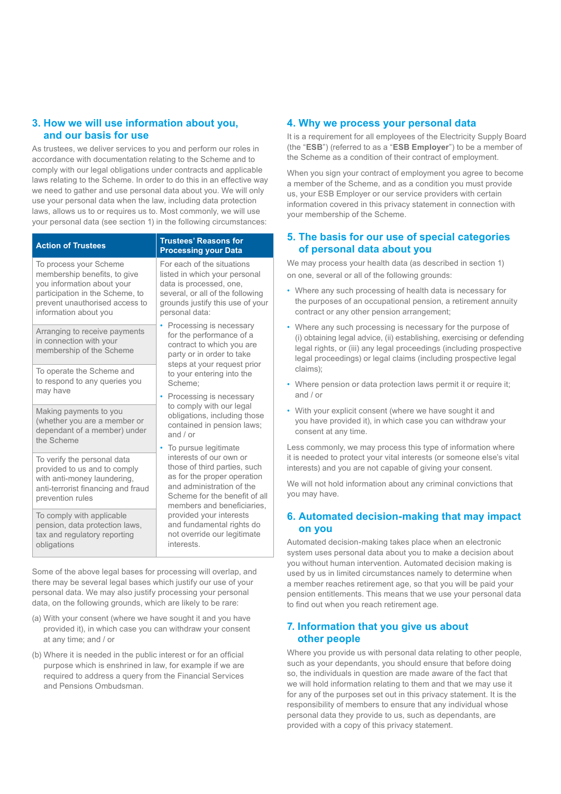## **3. How we will use information about you, and our basis for use**

As trustees, we deliver services to you and perform our roles in accordance with documentation relating to the Scheme and to comply with our legal obligations under contracts and applicable laws relating to the Scheme. In order to do this in an effective way we need to gather and use personal data about you. We will only use your personal data when the law, including data protection laws, allows us to or requires us to. Most commonly, we will use your personal data (see section 1) in the following circumstances:

| <b>Action of Trustees</b>                                                                                                                                                          | Trustees' Reasons for<br><b>Processing your Data</b>                                                                                                                                                                                                                                                                                                                                                                                                                                                                                                                                                                                            |
|------------------------------------------------------------------------------------------------------------------------------------------------------------------------------------|-------------------------------------------------------------------------------------------------------------------------------------------------------------------------------------------------------------------------------------------------------------------------------------------------------------------------------------------------------------------------------------------------------------------------------------------------------------------------------------------------------------------------------------------------------------------------------------------------------------------------------------------------|
| To process your Scheme<br>membership benefits, to give<br>you information about your<br>participation in the Scheme, to<br>prevent unauthorised access to<br>information about you | For each of the situations<br>listed in which your personal<br>data is processed, one,<br>several, or all of the following<br>grounds justify this use of your<br>personal data:                                                                                                                                                                                                                                                                                                                                                                                                                                                                |
| Arranging to receive payments<br>in connection with your<br>membership of the Scheme                                                                                               | Processing is necessary<br>for the performance of a<br>contract to which you are<br>party or in order to take<br>steps at your request prior<br>to your entering into the<br>Scheme:<br>Processing is necessary<br>to comply with our legal<br>obligations, including those<br>contained in pension laws;<br>and $/$ or<br>To pursue legitimate<br>۰<br>interests of our own or<br>those of third parties, such<br>as for the proper operation<br>and administration of the<br>Scheme for the benefit of all<br>members and beneficiaries.<br>provided your interests<br>and fundamental rights do<br>not override our legitimate<br>interests. |
| To operate the Scheme and<br>to respond to any queries you<br>may have                                                                                                             |                                                                                                                                                                                                                                                                                                                                                                                                                                                                                                                                                                                                                                                 |
| Making payments to you<br>(whether you are a member or<br>dependant of a member) under<br>the Scheme                                                                               |                                                                                                                                                                                                                                                                                                                                                                                                                                                                                                                                                                                                                                                 |
| To verify the personal data<br>provided to us and to comply<br>with anti-money laundering,<br>anti-terrorist financing and fraud<br>prevention rules                               |                                                                                                                                                                                                                                                                                                                                                                                                                                                                                                                                                                                                                                                 |
| To comply with applicable<br>pension, data protection laws,<br>tax and regulatory reporting<br>obligations                                                                         |                                                                                                                                                                                                                                                                                                                                                                                                                                                                                                                                                                                                                                                 |

Some of the above legal bases for processing will overlap, and there may be several legal bases which justify our use of your personal data. We may also justify processing your personal data, on the following grounds, which are likely to be rare:

- (a) With your consent (where we have sought it and you have provided it), in which case you can withdraw your consent at any time; and / or
- (b) Where it is needed in the public interest or for an official purpose which is enshrined in law, for example if we are required to address a query from the Financial Services and Pensions Ombudsman.

#### **4. Why we process your personal data**

It is a requirement for all employees of the Electricity Supply Board (the "**ESB**") (referred to as a "**ESB Employer**") to be a member of the Scheme as a condition of their contract of employment.

When you sign your contract of employment you agree to become a member of the Scheme, and as a condition you must provide us, your ESB Employer or our service providers with certain information covered in this privacy statement in connection with your membership of the Scheme.

#### **5. The basis for our use of special categories of personal data about you**

We may process your health data (as described in section 1) on one, several or all of the following grounds:

- Where any such processing of health data is necessary for the purposes of an occupational pension, a retirement annuity contract or any other pension arrangement;
- Where any such processing is necessary for the purpose of (i) obtaining legal advice, (ii) establishing, exercising or defending legal rights, or (iii) any legal proceedings (including prospective legal proceedings) or legal claims (including prospective legal claims);
- Where pension or data protection laws permit it or require it; and / or
- With your explicit consent (where we have sought it and you have provided it), in which case you can withdraw your consent at any time.

Less commonly, we may process this type of information where it is needed to protect your vital interests (or someone else's vital interests) and you are not capable of giving your consent.

We will not hold information about any criminal convictions that you may have.

### **6. Automated decision-making that may impact on you**

Automated decision-making takes place when an electronic system uses personal data about you to make a decision about you without human intervention. Automated decision making is used by us in limited circumstances namely to determine when a member reaches retirement age, so that you will be paid your pension entitlements. This means that we use your personal data to find out when you reach retirement age.

### **7. Information that you give us about other people**

Where you provide us with personal data relating to other people, such as your dependants, you should ensure that before doing so, the individuals in question are made aware of the fact that we will hold information relating to them and that we may use it for any of the purposes set out in this privacy statement. It is the responsibility of members to ensure that any individual whose personal data they provide to us, such as dependants, are provided with a copy of this privacy statement.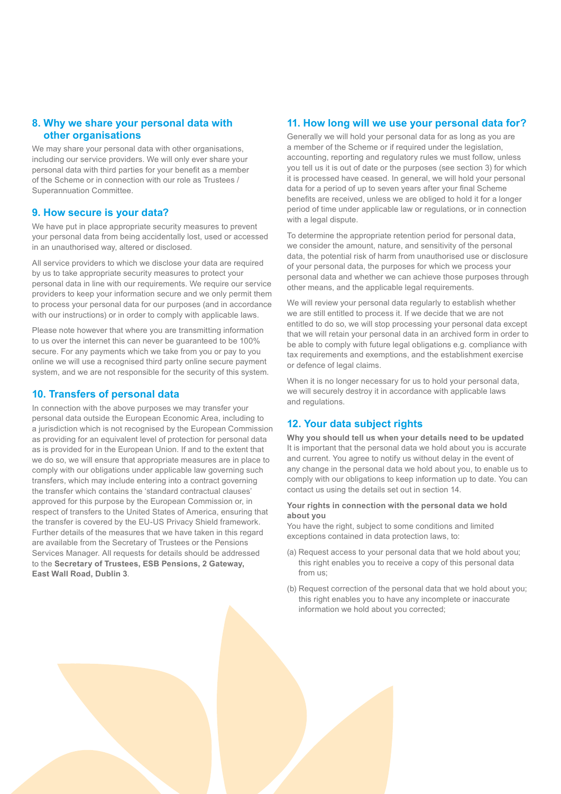## **8. Why we share your personal data with other organisations**

We may share your personal data with other organisations, including our service providers. We will only ever share your personal data with third parties for your benefit as a member of the Scheme or in connection with our role as Trustees / Superannuation Committee.

### **9. How secure is your data?**

We have put in place appropriate security measures to prevent your personal data from being accidentally lost, used or accessed in an unauthorised way, altered or disclosed.

All service providers to which we disclose your data are required by us to take appropriate security measures to protect your personal data in line with our requirements. We require our service providers to keep your information secure and we only permit them to process your personal data for our purposes (and in accordance with our instructions) or in order to comply with applicable laws.

Please note however that where you are transmitting information to us over the internet this can never be guaranteed to be 100% secure. For any payments which we take from you or pay to you online we will use a recognised third party online secure payment system, and we are not responsible for the security of this system.

## **10. Transfers of personal data**

In connection with the above purposes we may transfer your personal data outside the European Economic Area, including to a jurisdiction which is not recognised by the European Commission as providing for an equivalent level of protection for personal data as is provided for in the European Union. If and to the extent that we do so, we will ensure that appropriate measures are in place to comply with our obligations under applicable law governing such transfers, which may include entering into a contract governing the transfer which contains the 'standard contractual clauses' approved for this purpose by the European Commission or, in respect of transfers to the United States of America, ensuring that the transfer is covered by the EU-US Privacy Shield framework. Further details of the measures that we have taken in this regard are available from the Secretary of Trustees or the Pensions Services Manager. All requests for details should be addressed to the **Secretary of Trustees, ESB Pensions, 2 Gateway, East Wall Road, Dublin 3**.

### **11. How long will we use your personal data for?**

Generally we will hold your personal data for as long as you are a member of the Scheme or if required under the legislation, accounting, reporting and regulatory rules we must follow, unless you tell us it is out of date or the purposes (see section 3) for which it is processed have ceased. In general, we will hold your personal data for a period of up to seven years after your final Scheme benefits are received, unless we are obliged to hold it for a longer period of time under applicable law or regulations, or in connection with a legal dispute.

To determine the appropriate retention period for personal data, we consider the amount, nature, and sensitivity of the personal data, the potential risk of harm from unauthorised use or disclosure of your personal data, the purposes for which we process your personal data and whether we can achieve those purposes through other means, and the applicable legal requirements.

We will review your personal data regularly to establish whether we are still entitled to process it. If we decide that we are not entitled to do so, we will stop processing your personal data except that we will retain your personal data in an archived form in order to be able to comply with future legal obligations e.g. compliance with tax requirements and exemptions, and the establishment exercise or defence of legal claims.

When it is no longer necessary for us to hold your personal data, we will securely destroy it in accordance with applicable laws and regulations.

# **12. Your data subject rights**

**Why you should tell us when your details need to be updated** It is important that the personal data we hold about you is accurate and current. You agree to notify us without delay in the event of any change in the personal data we hold about you, to enable us to comply with our obligations to keep information up to date. You can contact us using the details set out in section 14.

#### **Your rights in connection with the personal data we hold about you**

You have the right, subject to some conditions and limited exceptions contained in data protection laws, to:

- (a) Request access to your personal data that we hold about you; this right enables you to receive a copy of this personal data from us;
- (b) Request correction of the personal data that we hold about you; this right enables you to have any incomplete or inaccurate information we hold about you corrected;